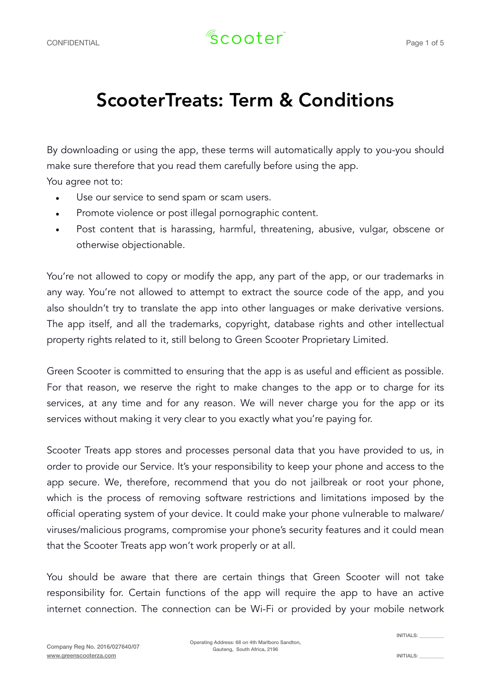## ScooterTreats: Term & Conditions

By downloading or using the app, these terms will automatically apply to you-you should make sure therefore that you read them carefully before using the app.

You agree not to:

- Use our service to send spam or scam users.
- Promote violence or post illegal pornographic content.
- Post content that is harassing, harmful, threatening, abusive, vulgar, obscene or otherwise objectionable.

You're not allowed to copy or modify the app, any part of the app, or our trademarks in any way. You're not allowed to attempt to extract the source code of the app, and you also shouldn't try to translate the app into other languages or make derivative versions. The app itself, and all the trademarks, copyright, database rights and other intellectual property rights related to it, still belong to Green Scooter Proprietary Limited.

Green Scooter is committed to ensuring that the app is as useful and efficient as possible. For that reason, we reserve the right to make changes to the app or to charge for its services, at any time and for any reason. We will never charge you for the app or its services without making it very clear to you exactly what you're paying for.

Scooter Treats app stores and processes personal data that you have provided to us, in order to provide our Service. It's your responsibility to keep your phone and access to the app secure. We, therefore, recommend that you do not jailbreak or root your phone, which is the process of removing software restrictions and limitations imposed by the official operating system of your device. It could make your phone vulnerable to malware/ viruses/malicious programs, compromise your phone's security features and it could mean that the Scooter Treats app won't work properly or at all.

You should be aware that there are certain things that Green Scooter will not take responsibility for. Certain functions of the app will require the app to have an active internet connection. The connection can be Wi-Fi or provided by your mobile network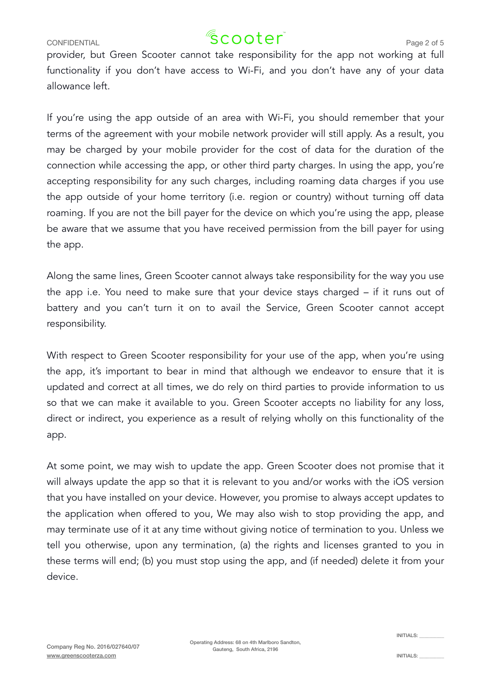### CONFIDENTIAL  $\sqrt{2}$  COOter<sup>"</sup> Page 2 of 5

provider, but Green Scooter cannot take responsibility for the app not working at full functionality if you don't have access to Wi-Fi, and you don't have any of your data allowance left.

If you're using the app outside of an area with Wi-Fi, you should remember that your terms of the agreement with your mobile network provider will still apply. As a result, you may be charged by your mobile provider for the cost of data for the duration of the connection while accessing the app, or other third party charges. In using the app, you're accepting responsibility for any such charges, including roaming data charges if you use the app outside of your home territory (i.e. region or country) without turning off data roaming. If you are not the bill payer for the device on which you're using the app, please be aware that we assume that you have received permission from the bill payer for using the app.

Along the same lines, Green Scooter cannot always take responsibility for the way you use the app i.e. You need to make sure that your device stays charged – if it runs out of battery and you can't turn it on to avail the Service, Green Scooter cannot accept responsibility.

With respect to Green Scooter responsibility for your use of the app, when you're using the app, it's important to bear in mind that although we endeavor to ensure that it is updated and correct at all times, we do rely on third parties to provide information to us so that we can make it available to you. Green Scooter accepts no liability for any loss, direct or indirect, you experience as a result of relying wholly on this functionality of the app.

At some point, we may wish to update the app. Green Scooter does not promise that it will always update the app so that it is relevant to you and/or works with the iOS version that you have installed on your device. However, you promise to always accept updates to the application when offered to you, We may also wish to stop providing the app, and may terminate use of it at any time without giving notice of termination to you. Unless we tell you otherwise, upon any termination, (a) the rights and licenses granted to you in these terms will end; (b) you must stop using the app, and (if needed) delete it from your device.

Operating Address: 68 on 4th Marlboro Sandton, Gauteng, South Africa, 2196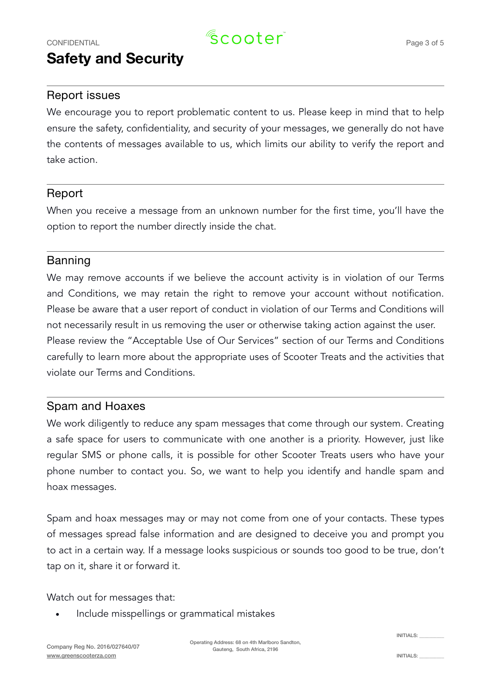# **Safety and Security**

#### Report issues

We encourage you to report problematic content to us. Please keep in mind that to help ensure the safety, confidentiality, and security of your messages, we generally do not have the contents of messages available to us, which limits our ability to verify the report and take action.

#### Report

When you receive a message from an unknown number for the first time, you'll have the option to report the number directly inside the chat.

#### Banning

We may remove accounts if we believe the account activity is in violation of our Terms and Conditions, we may retain the right to remove your account without notification. Please be aware that a user report of conduct in violation of our Terms and Conditions will not necessarily result in us removing the user or otherwise taking action against the user. Please review the "Acceptable Use of Our Services" section of our Terms and Conditions carefully to learn more about the appropriate uses of Scooter Treats and the activities that violate our Terms and Conditions.

#### Spam and Hoaxes

We work diligently to reduce any spam messages that come through our system. Creating a safe space for users to communicate with one another is a priority. However, just like regular SMS or phone calls, it is possible for other Scooter Treats users who have your phone number to contact you. So, we want to help you identify and handle spam and hoax messages.

Spam and hoax messages may or may not come from one of your contacts. These types of messages spread false information and are designed to deceive you and prompt you to act in a certain way. If a message looks suspicious or sounds too good to be true, don't tap on it, share it or forward it.

Watch out for messages that:

• Include misspellings or grammatical mistakes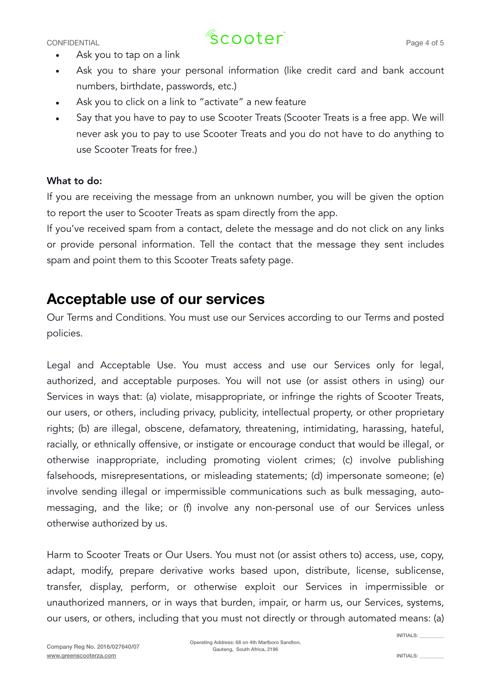# CONFIDENTIAL  $\sqrt{2}$  COOter<sup>"</sup> Page 4 of 5

- Ask you to tap on a link
- Ask you to share your personal information (like credit card and bank account numbers, birthdate, passwords, etc.)
- Ask you to click on a link to "activate" a new feature
- Say that you have to pay to use Scooter Treats (Scooter Treats is a free app. We will never ask you to pay to use Scooter Treats and you do not have to do anything to use Scooter Treats for free.)

#### What to do:

If you are receiving the message from an unknown number, you will be given the option to report the user to Scooter Treats as spam directly from the app.

If you've received spam from a contact, delete the message and do not click on any links or provide personal information. Tell the contact that the message they sent includes spam and point them to this Scooter Treats safety page.

### **Acceptable use of our services**

Our Terms and Conditions. You must use our Services according to our Terms and posted policies.

Legal and Acceptable Use. You must access and use our Services only for legal, authorized, and acceptable purposes. You will not use (or assist others in using) our Services in ways that: (a) violate, misappropriate, or infringe the rights of Scooter Treats, our users, or others, including privacy, publicity, intellectual property, or other proprietary rights; (b) are illegal, obscene, defamatory, threatening, intimidating, harassing, hateful, racially, or ethnically offensive, or instigate or encourage conduct that would be illegal, or otherwise inappropriate, including promoting violent crimes; (c) involve publishing falsehoods, misrepresentations, or misleading statements; (d) impersonate someone; (e) involve sending illegal or impermissible communications such as bulk messaging, automessaging, and the like; or (f) involve any non-personal use of our Services unless otherwise authorized by us.

Harm to Scooter Treats or Our Users. You must not (or assist others to) access, use, copy, adapt, modify, prepare derivative works based upon, distribute, license, sublicense, transfer, display, perform, or otherwise exploit our Services in impermissible or unauthorized manners, or in ways that burden, impair, or harm us, our Services, systems, our users, or others, including that you must not directly or through automated means: (a)